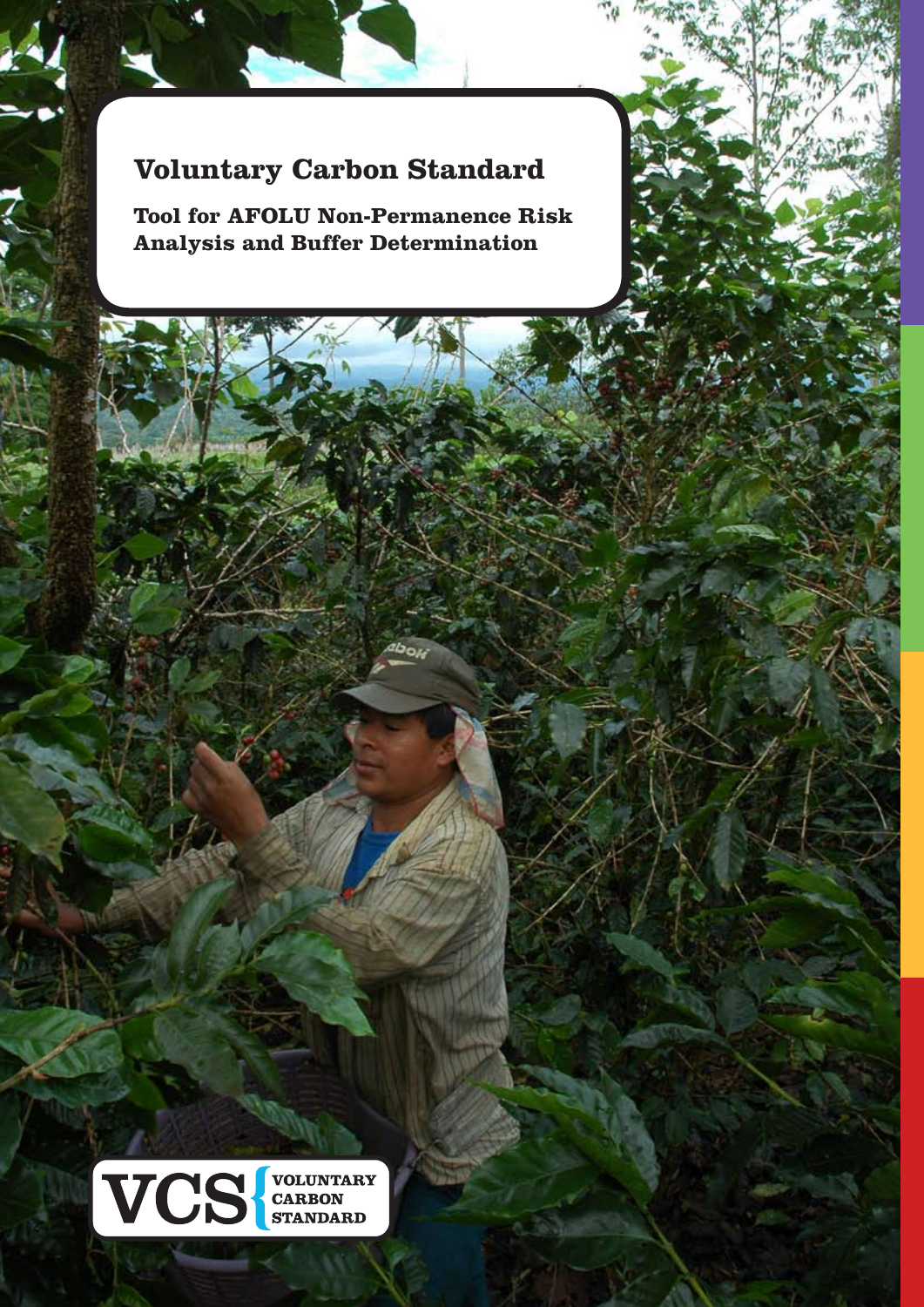# **Voluntary Carbon Standard**

**Tool for AFOLU Non-Permanence Risk Analysis and Buffer Determination**

دە قا



ww.v-c-s.com = 0.000 association 10 association 10 association 10 association 10 association 10 association 10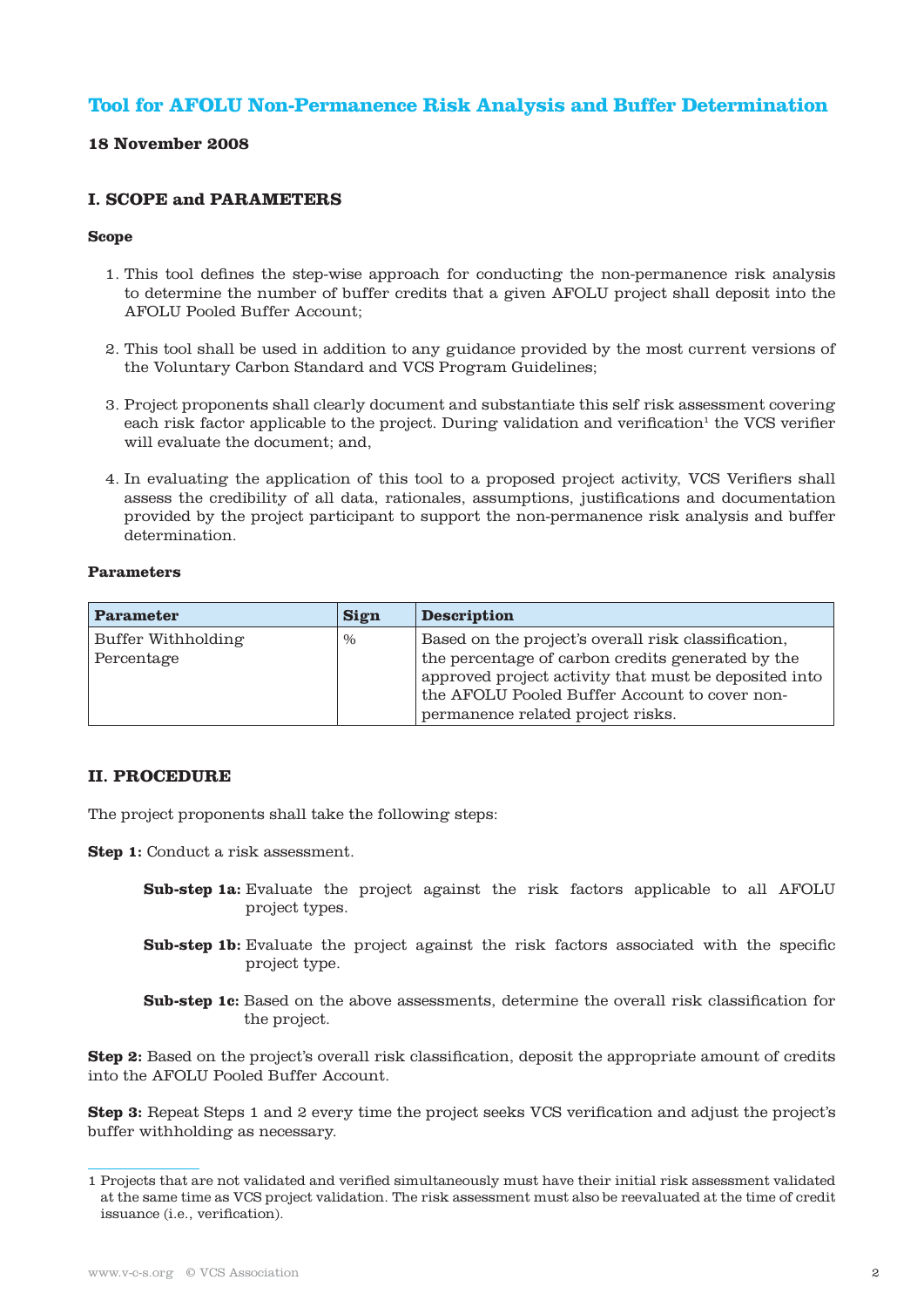# **Tool for AFOLU Non-Permanence Risk Analysis and Buffer Determination**

# **18 November 2008**

# **I. SCOPE and PARAMETERS**

#### **Scope**

- 1. This tool defines the step-wise approach for conducting the non-permanence risk analysis to determine the number of buffer credits that a given AFOLU project shall deposit into the AFOLU Pooled Buffer Account;
- 2. This tool shall be used in addition to any guidance provided by the most current versions of the Voluntary Carbon Standard and VCS Program Guidelines;
- 3. Project proponents shall clearly document and substantiate this self risk assessment covering each risk factor applicable to the project. During validation and verification<sup>1</sup> the VCS verifier will evaluate the document; and,
- 4. In evaluating the application of this tool to a proposed project activity, VCS Verifiers shall assess the credibility of all data, rationales, assumptions, justifications and documentation provided by the project participant to support the non-permanence risk analysis and buffer determination.

#### **Parameters**

| <b>Parameter</b>                 | <b>Sign</b>   | <b>Description</b>                                                                                                                                                                                                                                      |
|----------------------------------|---------------|---------------------------------------------------------------------------------------------------------------------------------------------------------------------------------------------------------------------------------------------------------|
| Buffer Withholding<br>Percentage | $\frac{0}{0}$ | Based on the project's overall risk classification,<br>the percentage of carbon credits generated by the<br>approved project activity that must be deposited into<br>the AFOLU Pooled Buffer Account to cover non-<br>permanence related project risks. |

# **II. PROCEDURE**

The project proponents shall take the following steps:

**Step 1:** Conduct a risk assessment.

- **Sub-step 1a:** Evaluate the project against the risk factors applicable to all AFOLU project types.
- **Sub-step 1b:** Evaluate the project against the risk factors associated with the specific project type.
- **Sub-step 1c:** Based on the above assessments, determine the overall risk classification for the project.

**Step 2:** Based on the project's overall risk classification, deposit the appropriate amount of credits into the AFOLU Pooled Buffer Account.

**Step 3:** Repeat Steps 1 and 2 every time the project seeks VCS verification and adjust the project's buffer withholding as necessary.

<sup>1</sup> Projects that are not validated and verified simultaneously must have their initial risk assessment validated at the same time as VCS project validation. The risk assessment must also be reevaluated at the time of credit issuance (i.e., verification).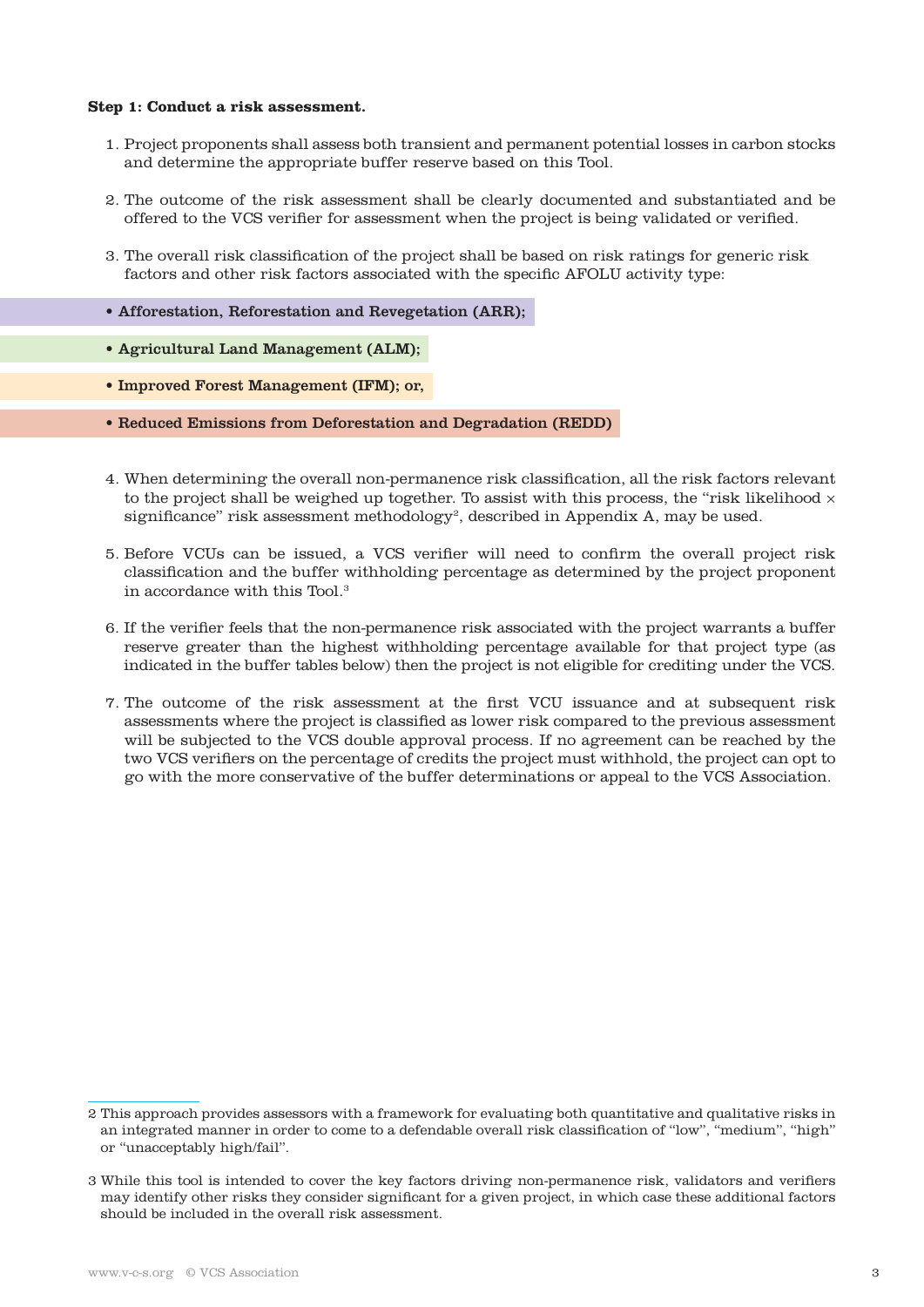#### **Step 1: Conduct a risk assessment.**

- 1. Project proponents shall assess both transient and permanent potential losses in carbon stocks and determine the appropriate buffer reserve based on this Tool.
- 2. The outcome of the risk assessment shall be clearly documented and substantiated and be offered to the VCS verifier for assessment when the project is being validated or verified.
- 3. The overall risk classification of the project shall be based on risk ratings for generic risk factors and other risk factors associated with the specific AFOLU activity type:
- Afforestation, Reforestation and Revegetation (ARR);
- Agricultural Land Management (ALM);
- Improved Forest Management (IFM); or,
- Reduced Emissions from Deforestation and Degradation (REDD)
- 4. When determining the overall non-permanence risk classification, all the risk factors relevant to the project shall be weighed up together. To assist with this process, the "risk likelihood  $\times$ significance" risk assessment methodology<sup>2</sup>, described in Appendix A, may be used.
- 5. Before VCUs can be issued, a VCS verifier will need to confirm the overall project risk classification and the buffer withholding percentage as determined by the project proponent in accordance with this Tool.3
- 6. If the verifier feels that the non-permanence risk associated with the project warrants a buffer reserve greater than the highest withholding percentage available for that project type (as indicated in the buffer tables below) then the project is not eligible for crediting under the VCS.
- 7. The outcome of the risk assessment at the first VCU issuance and at subsequent risk assessments where the project is classified as lower risk compared to the previous assessment will be subjected to the VCS double approval process. If no agreement can be reached by the two VCS verifiers on the percentage of credits the project must withhold, the project can opt to go with the more conservative of the buffer determinations or appeal to the VCS Association.

<sup>2</sup> This approach provides assessors with a framework for evaluating both quantitative and qualitative risks in an integrated manner in order to come to a defendable overall risk classification of "low", "medium", "high" or "unacceptably high/fail".

<sup>3</sup> While this tool is intended to cover the key factors driving non-permanence risk, validators and verifiers may identify other risks they consider significant for a given project, in which case these additional factors should be included in the overall risk assessment.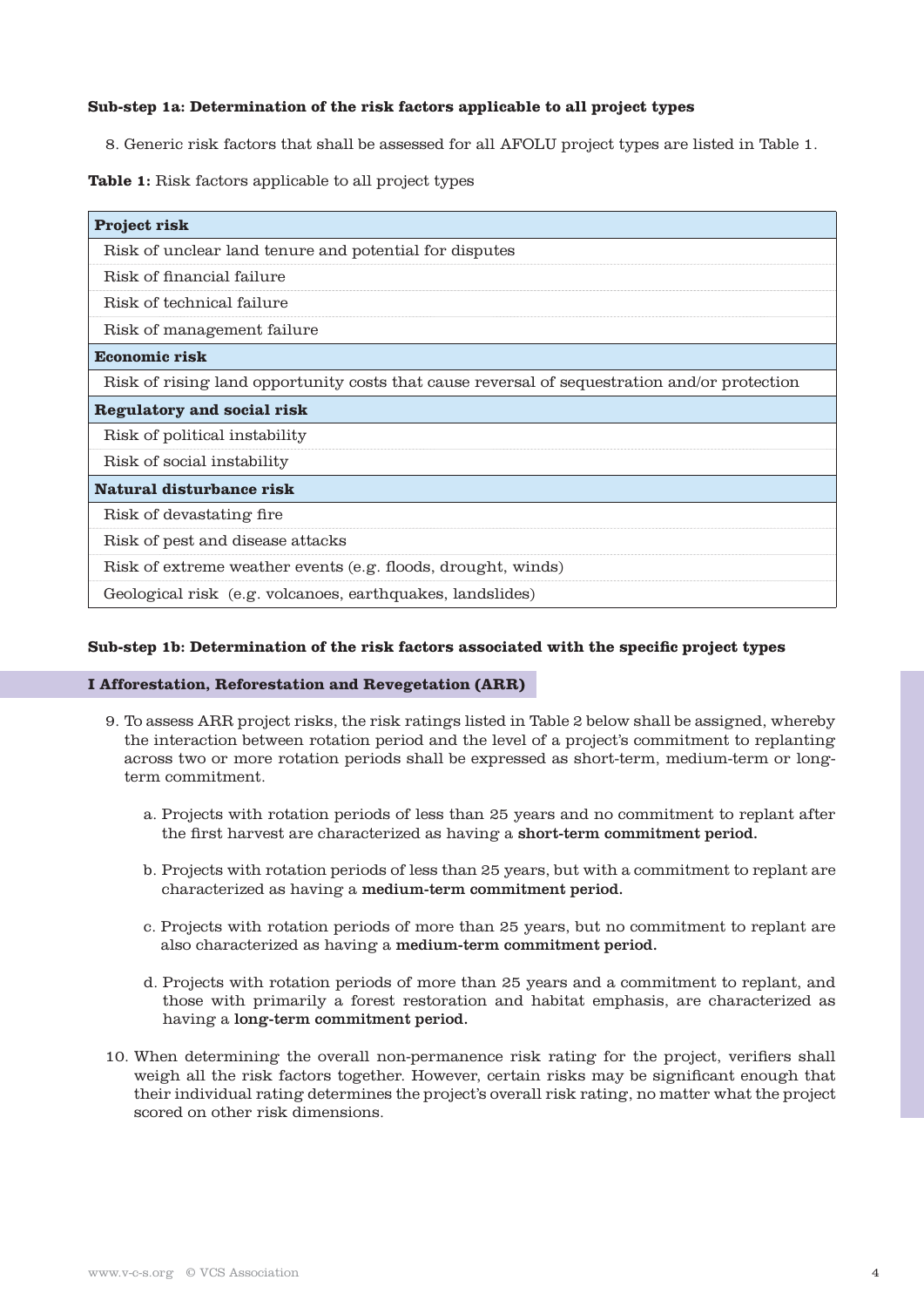# **Sub-step 1a: Determination of the risk factors applicable to all project types**

8. Generic risk factors that shall be assessed for all AFOLU project types are listed in Table 1.

# **Table 1:** Risk factors applicable to all project types

| <b>Project risk</b>                                                                          |
|----------------------------------------------------------------------------------------------|
| Risk of unclear land tenure and potential for disputes                                       |
| Risk of financial failure                                                                    |
| Risk of technical failure                                                                    |
| Risk of management failure                                                                   |
| <b>Economic risk</b>                                                                         |
| Risk of rising land opportunity costs that cause reversal of sequestration and/or protection |
| Regulatory and social risk                                                                   |
| Risk of political instability                                                                |
| Risk of social instability                                                                   |
| Natural disturbance risk                                                                     |
| Risk of devastating fire                                                                     |
| Risk of pest and disease attacks                                                             |
| Risk of extreme weather events (e.g. floods, drought, winds)                                 |
| Geological risk (e.g. volcanoes, earthquakes, landslides)                                    |

### **Sub-step 1b: Determination of the risk factors associated with the specific project types**

#### **I Afforestation, Reforestation and Revegetation (ARR)**

- 9. To assess ARR project risks, the risk ratings listed in Table 2 below shall be assigned, whereby the interaction between rotation period and the level of a project's commitment to replanting across two or more rotation periods shall be expressed as short-term, medium-term or longterm commitment.
	- a. Projects with rotation periods of less than 25 years and no commitment to replant after the first harvest are characterized as having a short-term commitment period.
	- b. Projects with rotation periods of less than 25 years, but with a commitment to replant are characterized as having a medium-term commitment period.
	- c. Projects with rotation periods of more than 25 years, but no commitment to replant are also characterized as having a medium-term commitment period.
	- d. Projects with rotation periods of more than 25 years and a commitment to replant, and those with primarily a forest restoration and habitat emphasis, are characterized as having a long-term commitment period.
- 10. When determining the overall non-permanence risk rating for the project, verifiers shall weigh all the risk factors together. However, certain risks may be significant enough that their individual rating determines the project's overall risk rating, no matter what the project scored on other risk dimensions.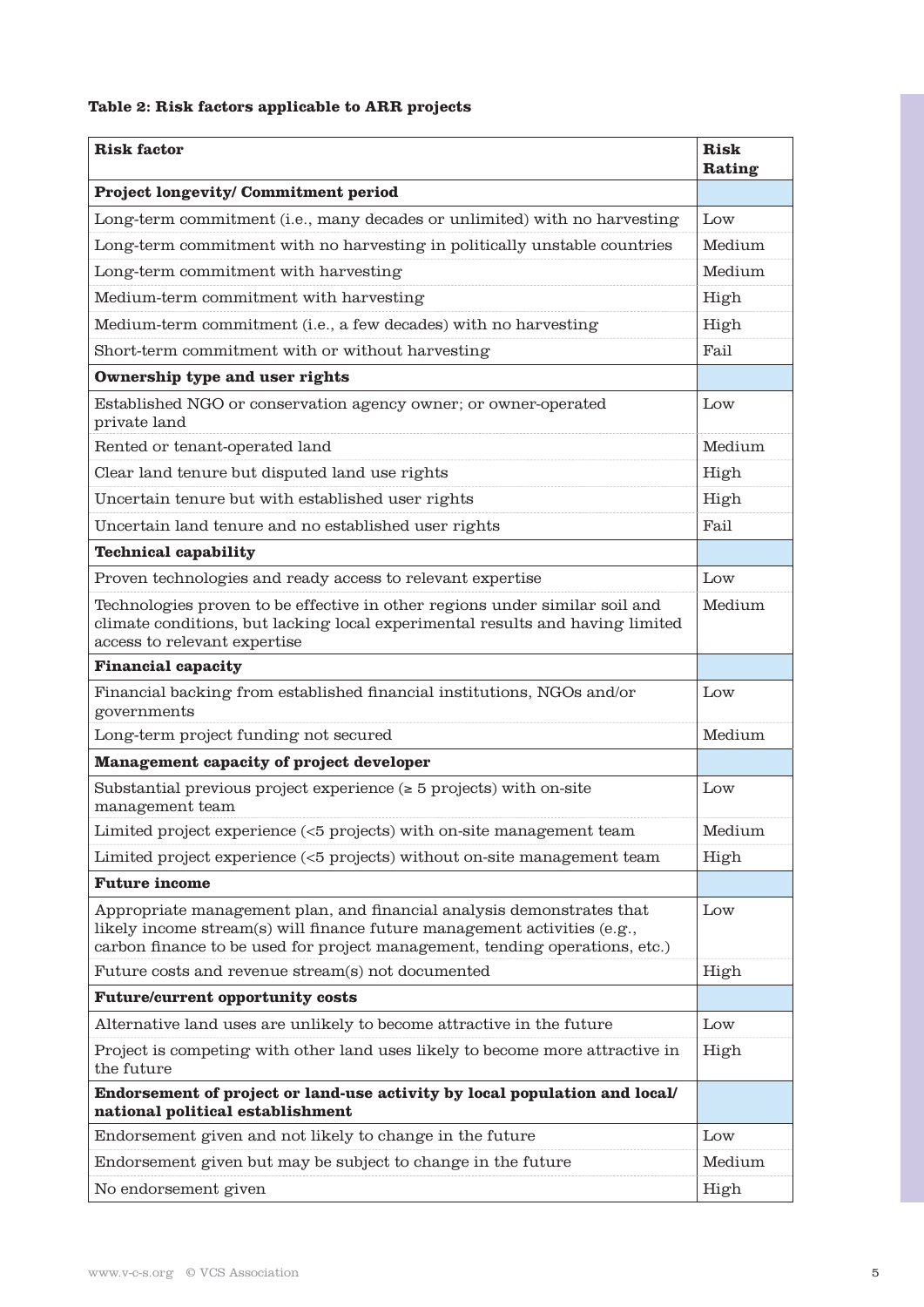# **Table 2: Risk factors applicable to ARR projects**

| <b>Risk factor</b>                                                                                                                                                                                                                  | <b>Risk</b><br>Rating |
|-------------------------------------------------------------------------------------------------------------------------------------------------------------------------------------------------------------------------------------|-----------------------|
| <b>Project longevity/ Commitment period</b>                                                                                                                                                                                         |                       |
| Long-term commitment (i.e., many decades or unlimited) with no harvesting                                                                                                                                                           | Low                   |
| Long-term commitment with no harvesting in politically unstable countries                                                                                                                                                           | Medium                |
| Long-term commitment with harvesting                                                                                                                                                                                                | Medium                |
| Medium-term commitment with harvesting                                                                                                                                                                                              | High                  |
| Medium-term commitment (i.e., a few decades) with no harvesting                                                                                                                                                                     | High                  |
| Short-term commitment with or without harvesting                                                                                                                                                                                    | Fail                  |
| Ownership type and user rights                                                                                                                                                                                                      |                       |
| Established NGO or conservation agency owner; or owner-operated<br>private land                                                                                                                                                     | Low                   |
| Rented or tenant-operated land                                                                                                                                                                                                      | Medium                |
| Clear land tenure but disputed land use rights                                                                                                                                                                                      | High                  |
| Uncertain tenure but with established user rights                                                                                                                                                                                   | High                  |
| Uncertain land tenure and no established user rights                                                                                                                                                                                | Fail                  |
| <b>Technical capability</b>                                                                                                                                                                                                         |                       |
| Proven technologies and ready access to relevant expertise                                                                                                                                                                          | Low                   |
| Technologies proven to be effective in other regions under similar soil and<br>climate conditions, but lacking local experimental results and having limited<br>access to relevant expertise                                        | Medium                |
| <b>Financial capacity</b>                                                                                                                                                                                                           |                       |
| Financial backing from established financial institutions, NGOs and/or<br>governments                                                                                                                                               | Low                   |
| Long-term project funding not secured                                                                                                                                                                                               | Medium                |
| <b>Management capacity of project developer</b>                                                                                                                                                                                     |                       |
| Substantial previous project experience $($ > 5 projects) with on-site<br>management team                                                                                                                                           | Low                   |
| Limited project experience (<5 projects) with on-site management team                                                                                                                                                               | Medium                |
| Limited project experience (<5 projects) without on-site management team                                                                                                                                                            | High                  |
| <b>Future income</b>                                                                                                                                                                                                                |                       |
| Appropriate management plan, and financial analysis demonstrates that<br>likely income stream(s) will finance future management activities $(e.g.,)$<br>carbon finance to be used for project management, tending operations, etc.) | Low                   |
| Future costs and revenue stream(s) not documented                                                                                                                                                                                   | High                  |
| <b>Future/current opportunity costs</b>                                                                                                                                                                                             |                       |
| Alternative land uses are unlikely to become attractive in the future                                                                                                                                                               | Low                   |
| Project is competing with other land uses likely to become more attractive in<br>the future                                                                                                                                         | High                  |
| Endorsement of project or land-use activity by local population and local/<br>national political establishment                                                                                                                      |                       |
| Endorsement given and not likely to change in the future                                                                                                                                                                            | Low                   |
| Endorsement given but may be subject to change in the future                                                                                                                                                                        | Medium                |
| No endorsement given                                                                                                                                                                                                                | High                  |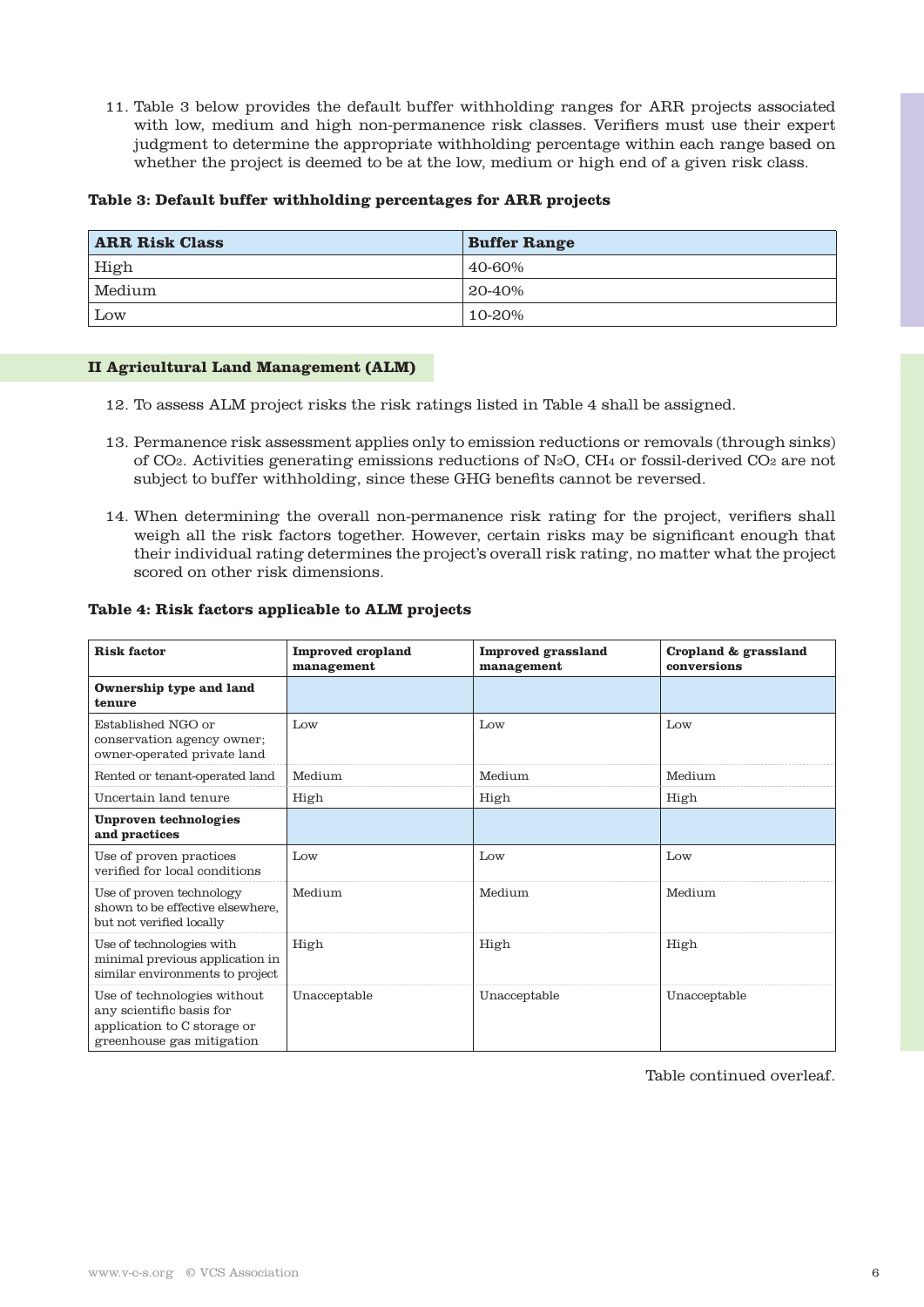11. Table 3 below provides the default buffer withholding ranges for ARR projects associated with low, medium and high non-permanence risk classes. Verifiers must use their expert judgment to determine the appropriate withholding percentage within each range based on whether the project is deemed to be at the low, medium or high end of a given risk class.

#### **Table 3: Default buffer withholding percentages for ARR projects**

| <b>ARR Risk Class</b> | <b>Buffer Range</b> |
|-----------------------|---------------------|
| High                  | 40-60%              |
| Medium                | $120-40\%$          |
| Low                   | 10-20%              |

#### **II Agricultural Land Management (ALM)**

- 12. To assess ALM project risks the risk ratings listed in Table 4 shall be assigned.
- 13. Permanence risk assessment applies only to emission reductions or removals (through sinks) of CO2. Activities generating emissions reductions of N2O, CH4 or fossil-derived CO2 are not subject to buffer withholding, since these GHG benefits cannot be reversed.
- 14. When determining the overall non-permanence risk rating for the project, verifiers shall weigh all the risk factors together. However, certain risks may be significant enough that their individual rating determines the project's overall risk rating, no matter what the project scored on other risk dimensions.

#### **Table 4: Risk factors applicable to ALM projects**

| <b>Risk factor</b>                                                                                                  | <b>Improved</b> cropland<br>management | <b>Improved grassland</b><br>management | Cropland & grassland<br>conversions |
|---------------------------------------------------------------------------------------------------------------------|----------------------------------------|-----------------------------------------|-------------------------------------|
| Ownership type and land<br>tenure                                                                                   |                                        |                                         |                                     |
| Established NGO or<br>conservation agency owner;<br>owner-operated private land                                     | Low                                    | Low                                     | Low                                 |
| Rented or tenant-operated land                                                                                      | Medium                                 | Medium                                  | Medium                              |
| Uncertain land tenure                                                                                               | High                                   | High                                    | High                                |
| Unproven technologies<br>and practices                                                                              |                                        |                                         |                                     |
| Use of proven practices<br>verified for local conditions                                                            | Low                                    | Low                                     | Low                                 |
| Use of proven technology<br>shown to be effective elsewhere,<br>but not verified locally                            | Medium                                 | Medium                                  | Medium                              |
| Use of technologies with<br>minimal previous application in<br>similar environments to project                      | High                                   | High                                    | High                                |
| Use of technologies without<br>any scientific basis for<br>application to C storage or<br>greenhouse gas mitigation | Unacceptable                           | Unacceptable                            | Unacceptable                        |

Table continued overleaf.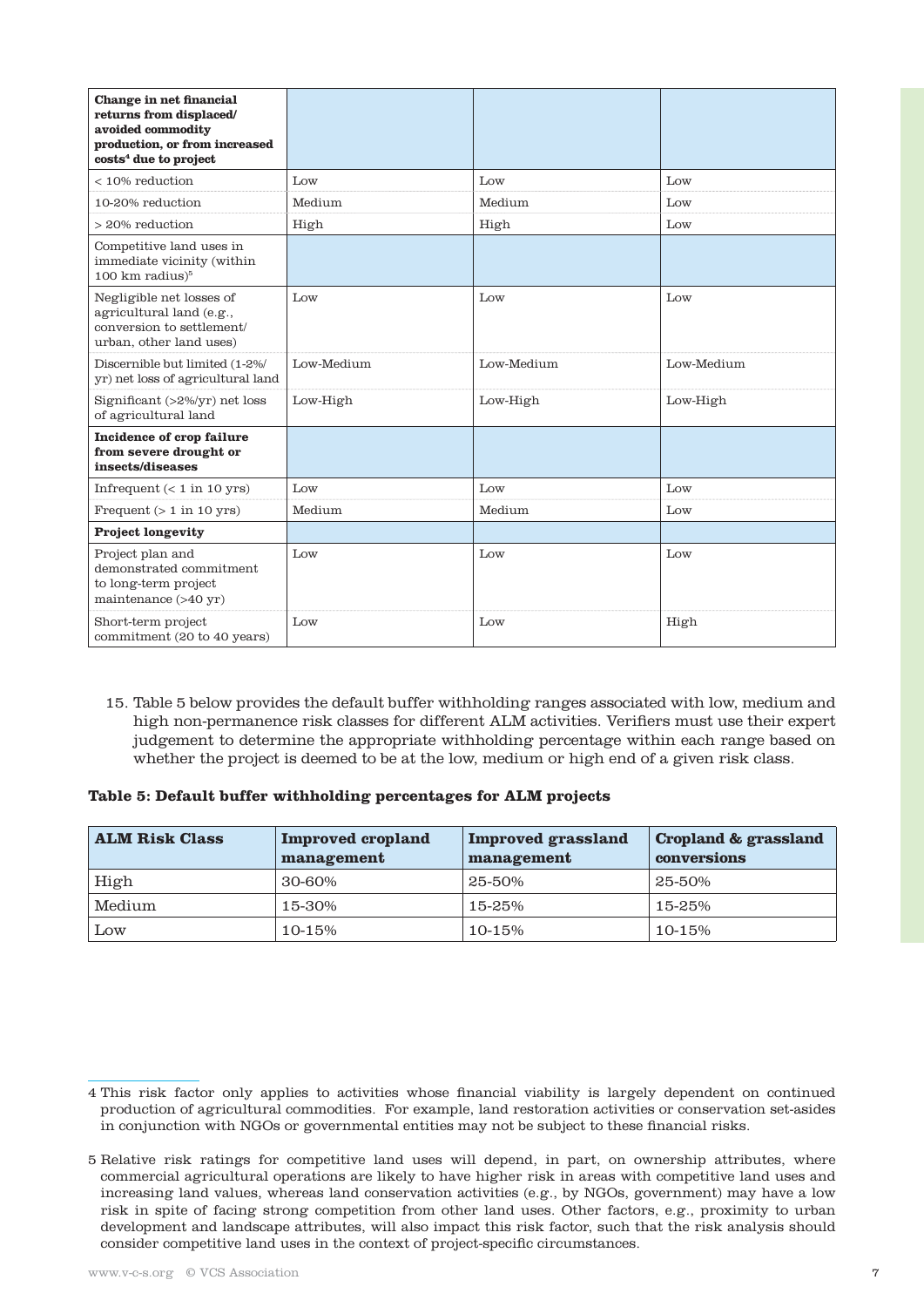| Change in net financial<br>returns from displaced/<br>avoided commodity<br>production, or from increased<br>${\rm cost}{\rm s}^4$ due to project |            |            |            |
|--------------------------------------------------------------------------------------------------------------------------------------------------|------------|------------|------------|
| $< 10\%$ reduction                                                                                                                               | Low        | Low        | Low        |
| 10-20% reduction                                                                                                                                 | Medium     | Medium     | Low        |
| $> 20\%$ reduction                                                                                                                               | High       | High       | Low        |
| Competitive land uses in<br>immediate vicinity (within<br>$100 \text{ km}$ radius) $5$                                                           |            |            |            |
| Negligible net losses of<br>agricultural land (e.g.,<br>conversion to settlement/<br>urban, other land uses)                                     | Low        | Low        | Low        |
| Discernible but limited (1-2%/<br>yr) net loss of agricultural land                                                                              | Low-Medium | Low-Medium | Low-Medium |
| Significant $(>2\%/yr)$ net loss<br>of agricultural land                                                                                         | Low-High   | Low-High   | Low-High   |
| Incidence of crop failure<br>from severe drought or<br>insects/diseases                                                                          |            |            |            |
| Infrequent $(< 1$ in 10 yrs)                                                                                                                     | Low        | Low        | Low        |
| Frequent $(> 1$ in 10 yrs)                                                                                                                       | Medium     | Medium     | Low        |
| <b>Project longevity</b>                                                                                                                         |            |            |            |
| Project plan and<br>demonstrated commitment<br>to long-term project<br>maintenance $(>40 \text{ yr})$                                            | Low        | Low        | Low        |
| Short-term project<br>commitment (20 to 40 years)                                                                                                | Low        | Low        | High       |

15. Table 5 below provides the default buffer withholding ranges associated with low, medium and high non-permanence risk classes for different ALM activities. Verifiers must use their expert judgement to determine the appropriate withholding percentage within each range based on whether the project is deemed to be at the low, medium or high end of a given risk class.

## **Table 5: Default buffer withholding percentages for ALM projects**

| <b>ALM Risk Class</b> | <b>Improved cropland</b><br>management | Improved grassland<br>management | Cropland & grassland<br>conversions |
|-----------------------|----------------------------------------|----------------------------------|-------------------------------------|
| High                  | 30-60%                                 | 25-50%                           | 25-50%                              |
| Medium                | 15-30%                                 | 15-25%                           | 15-25%                              |
| Low                   | 10-15%                                 | 10-15%                           | $10 - 15%$                          |

<sup>4</sup> This risk factor only applies to activities whose financial viability is largely dependent on continued production of agricultural commodities. For example, land restoration activities or conservation set-asides in conjunction with NGOs or governmental entities may not be subject to these financial risks.

<sup>5</sup> Relative risk ratings for competitive land uses will depend, in part, on ownership attributes, where commercial agricultural operations are likely to have higher risk in areas with competitive land uses and increasing land values, whereas land conservation activities (e.g., by NGOs, government) may have a low risk in spite of facing strong competition from other land uses. Other factors, e.g., proximity to urban development and landscape attributes, will also impact this risk factor, such that the risk analysis should consider competitive land uses in the context of project-specific circumstances.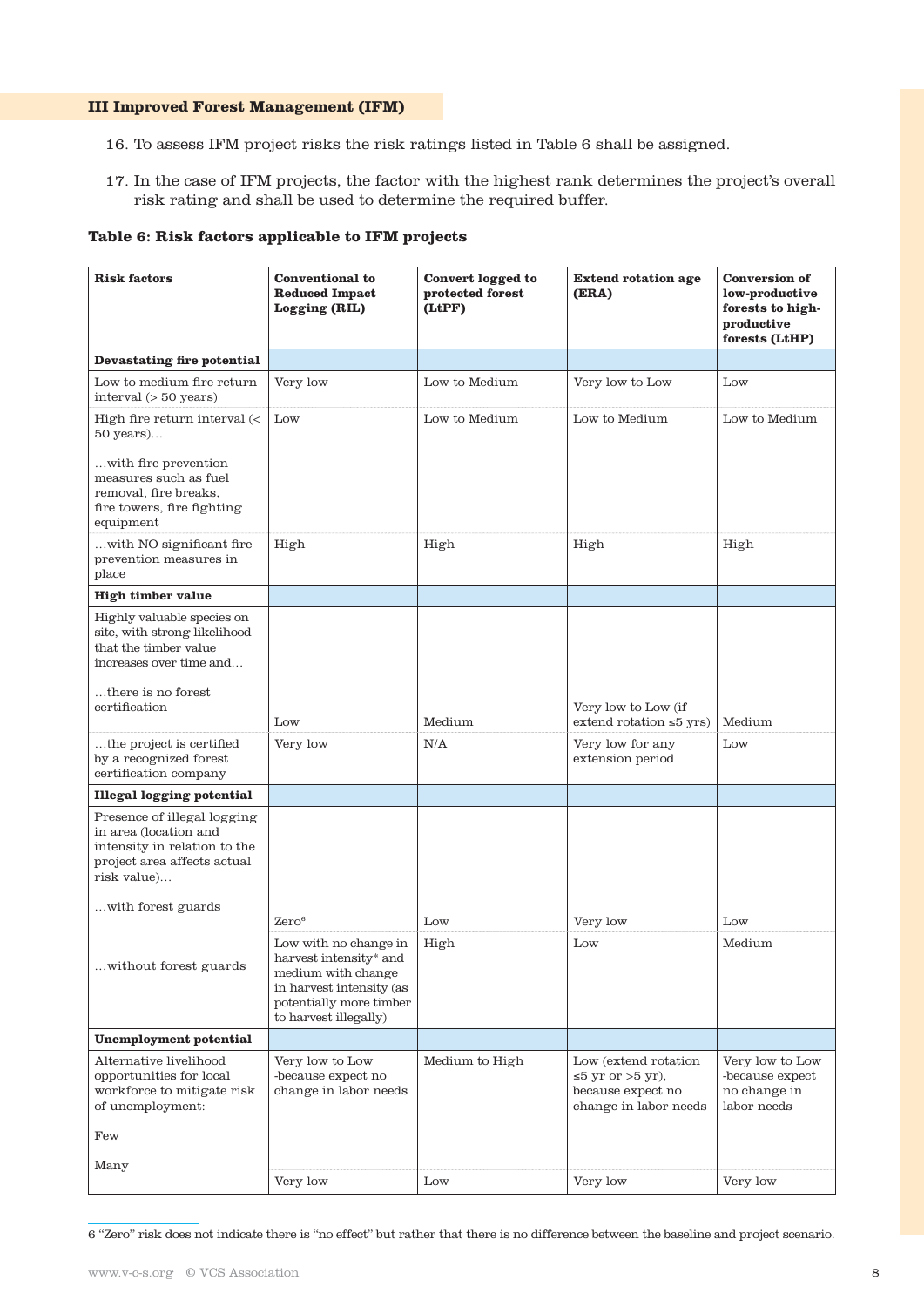#### **III Improved Forest Management (IFM)**

- 16. To assess IFM project risks the risk ratings listed in Table 6 shall be assigned.
- 17. In the case of IFM projects, the factor with the highest rank determines the project's overall risk rating and shall be used to determine the required buffer.

# **Table 6: Risk factors applicable to IFM projects**

| <b>Risk factors</b>                                                                                                                | <b>Conventional</b> to<br><b>Reduced Impact</b><br>Logging (RIL)                                                                                           | Convert logged to<br>protected forest<br>(LtPF) | <b>Extend rotation age</b><br>(ERA)                                                     | <b>Conversion of</b><br>low-productive<br>forests to high-<br>productive<br>forests (LtHP) |
|------------------------------------------------------------------------------------------------------------------------------------|------------------------------------------------------------------------------------------------------------------------------------------------------------|-------------------------------------------------|-----------------------------------------------------------------------------------------|--------------------------------------------------------------------------------------------|
| Devastating fire potential                                                                                                         |                                                                                                                                                            |                                                 |                                                                                         |                                                                                            |
| Low to medium fire return<br>interval (> 50 years)                                                                                 | Very low                                                                                                                                                   | Low to Medium                                   | Very low to Low                                                                         | Low                                                                                        |
| High fire return interval $\left\langle \right\rangle$<br>50 years)                                                                | Low                                                                                                                                                        | Low to Medium                                   | Low to Medium                                                                           | Low to Medium                                                                              |
| with fire prevention<br>measures such as fuel<br>removal, fire breaks,<br>fire towers, fire fighting<br>equipment                  |                                                                                                                                                            |                                                 |                                                                                         |                                                                                            |
| with NO significant fire<br>prevention measures in<br>place                                                                        | High                                                                                                                                                       | High                                            | High                                                                                    | High                                                                                       |
| <b>High timber value</b>                                                                                                           |                                                                                                                                                            |                                                 |                                                                                         |                                                                                            |
| Highly valuable species on<br>site, with strong likelihood<br>that the timber value<br>increases over time and                     |                                                                                                                                                            |                                                 |                                                                                         |                                                                                            |
| there is no forest<br>certification                                                                                                | Low                                                                                                                                                        | Medium                                          | Very low to Low (if<br>extend rotation $\leq 5$ yrs)                                    | Medium                                                                                     |
| the project is certified<br>by a recognized forest<br>certification company                                                        | Very low                                                                                                                                                   | N/A                                             | Very low for any<br>extension period                                                    | Low                                                                                        |
| <b>Illegal logging potential</b>                                                                                                   |                                                                                                                                                            |                                                 |                                                                                         |                                                                                            |
| Presence of illegal logging<br>in area (location and<br>intensity in relation to the<br>project area affects actual<br>risk value) |                                                                                                                                                            |                                                 |                                                                                         |                                                                                            |
| with forest guards                                                                                                                 | $\rm{Zero^6}$                                                                                                                                              | Low                                             | Very low                                                                                | Low                                                                                        |
| without forest guards                                                                                                              | Low with no change in<br>harvest intensity* and $\,$<br>medium with change<br>in harvest intensity (as<br>potentially more timber<br>to harvest illegally) | High                                            | Low                                                                                     | Medium                                                                                     |
| Unemployment potential                                                                                                             |                                                                                                                                                            |                                                 |                                                                                         |                                                                                            |
| Alternative livelihood<br>opportunities for local<br>workforce to mitigate risk<br>of unemployment:                                | Very low to Low<br>-because expect no<br>change in labor needs                                                                                             | Medium to High                                  | Low (extend rotation)<br>≤5 yr or >5 yr),<br>because expect no<br>change in labor needs | Very low to Low<br>-because expect<br>no change in<br>labor needs                          |
| Few                                                                                                                                |                                                                                                                                                            |                                                 |                                                                                         |                                                                                            |
| Many                                                                                                                               | Very low                                                                                                                                                   | Low                                             | Very low                                                                                | Very low                                                                                   |

6 "Zero" risk does not indicate there is "no effect" but rather that there is no difference between the baseline and project scenario.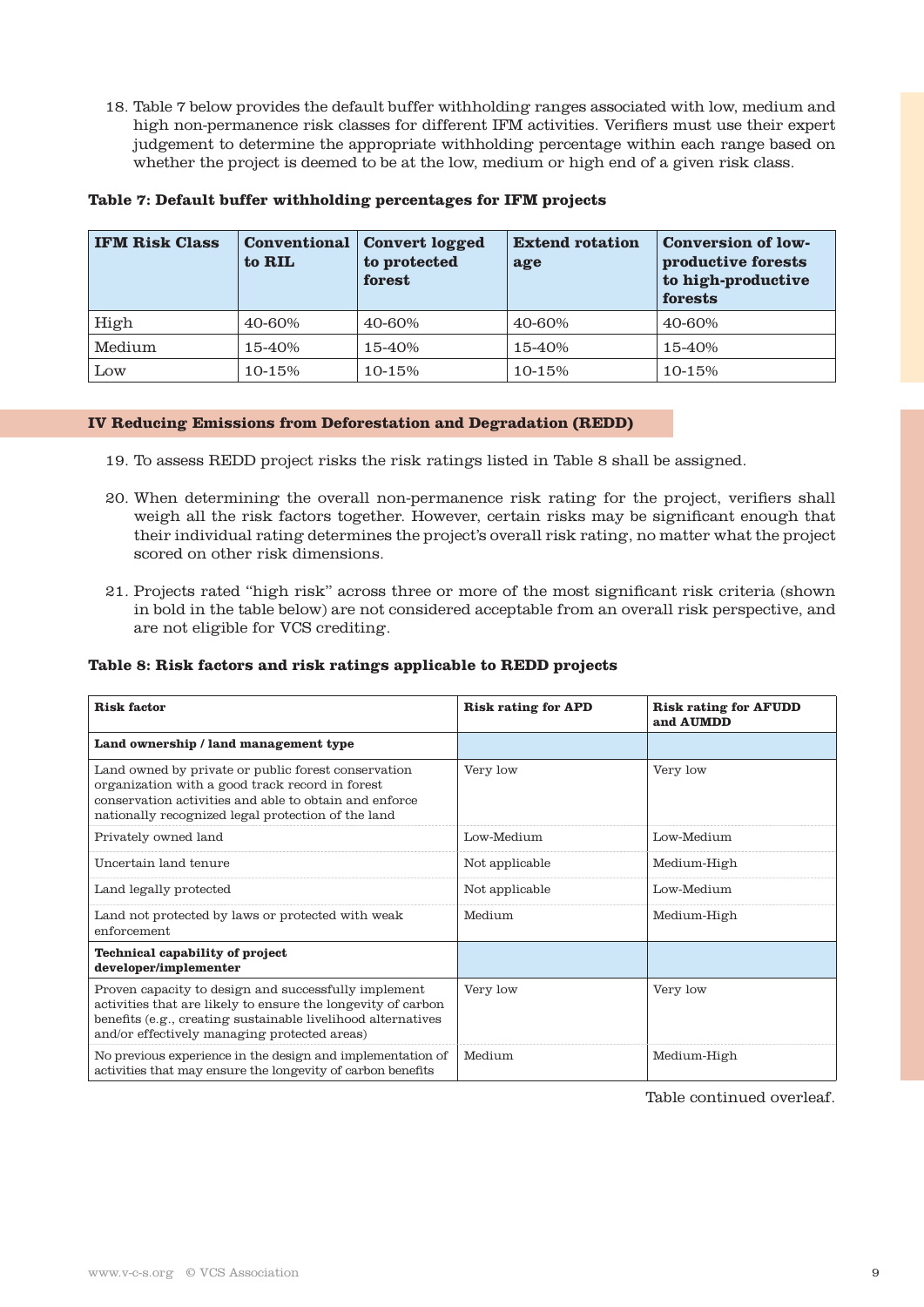18. Table 7 below provides the default buffer withholding ranges associated with low, medium and high non-permanence risk classes for different IFM activities. Verifiers must use their expert judgement to determine the appropriate withholding percentage within each range based on whether the project is deemed to be at the low, medium or high end of a given risk class.

| <b>IFM Risk Class</b> | to RIL | <b>Conventional Convert logged</b><br>to protected<br>forest | <b>Extend rotation</b><br>age | <b>Conversion of low-</b><br>productive forests<br>to high-productive<br>forests |
|-----------------------|--------|--------------------------------------------------------------|-------------------------------|----------------------------------------------------------------------------------|
| High                  | 40-60% | 40-60%                                                       | 40-60%                        | 40-60%                                                                           |
| Medium                | 15-40% | 15-40%                                                       | 15-40%                        | 15-40%                                                                           |
| Low                   | 10-15% | 10-15%                                                       | 10-15%                        | 10-15%                                                                           |

#### **IV Reducing Emissions from Deforestation and Degradation (REDD)**

- 19. To assess REDD project risks the risk ratings listed in Table 8 shall be assigned.
- 20. When determining the overall non-permanence risk rating for the project, verifiers shall weigh all the risk factors together. However, certain risks may be significant enough that their individual rating determines the project's overall risk rating, no matter what the project scored on other risk dimensions.
- 21. Projects rated "high risk" across three or more of the most significant risk criteria (shown in bold in the table below) are not considered acceptable from an overall risk perspective, and are not eligible for VCS crediting.

# **Table 8: Risk factors and risk ratings applicable to REDD projects**

| <b>Risk factor</b>                                                                                                                                                                                                                   | <b>Risk rating for APD</b> | <b>Risk rating for AFUDD</b><br>and AUMDD |
|--------------------------------------------------------------------------------------------------------------------------------------------------------------------------------------------------------------------------------------|----------------------------|-------------------------------------------|
| Land ownership / land management type                                                                                                                                                                                                |                            |                                           |
| Land owned by private or public forest conservation<br>organization with a good track record in forest<br>conservation activities and able to obtain and enforce<br>nationally recognized legal protection of the land               | Very low                   | Very low                                  |
| Privately owned land                                                                                                                                                                                                                 | Low-Medium                 | Low-Medium                                |
| Uncertain land tenure                                                                                                                                                                                                                | Not applicable             | Medium-High                               |
| Land legally protected                                                                                                                                                                                                               | Not applicable             | Low-Medium                                |
| Land not protected by laws or protected with weak<br>enforcement                                                                                                                                                                     | Medium                     | Medium-High                               |
| <b>Technical capability of project</b><br>developer/implementer                                                                                                                                                                      |                            |                                           |
| Proven capacity to design and successfully implement<br>activities that are likely to ensure the longevity of carbon<br>benefits (e.g., creating sustainable livelihood alternatives<br>and/or effectively managing protected areas) | Very low                   | Very low                                  |
| No previous experience in the design and implementation of<br>activities that may ensure the longevity of carbon benefits                                                                                                            | Medium                     | Medium-High                               |

Table continued overleaf.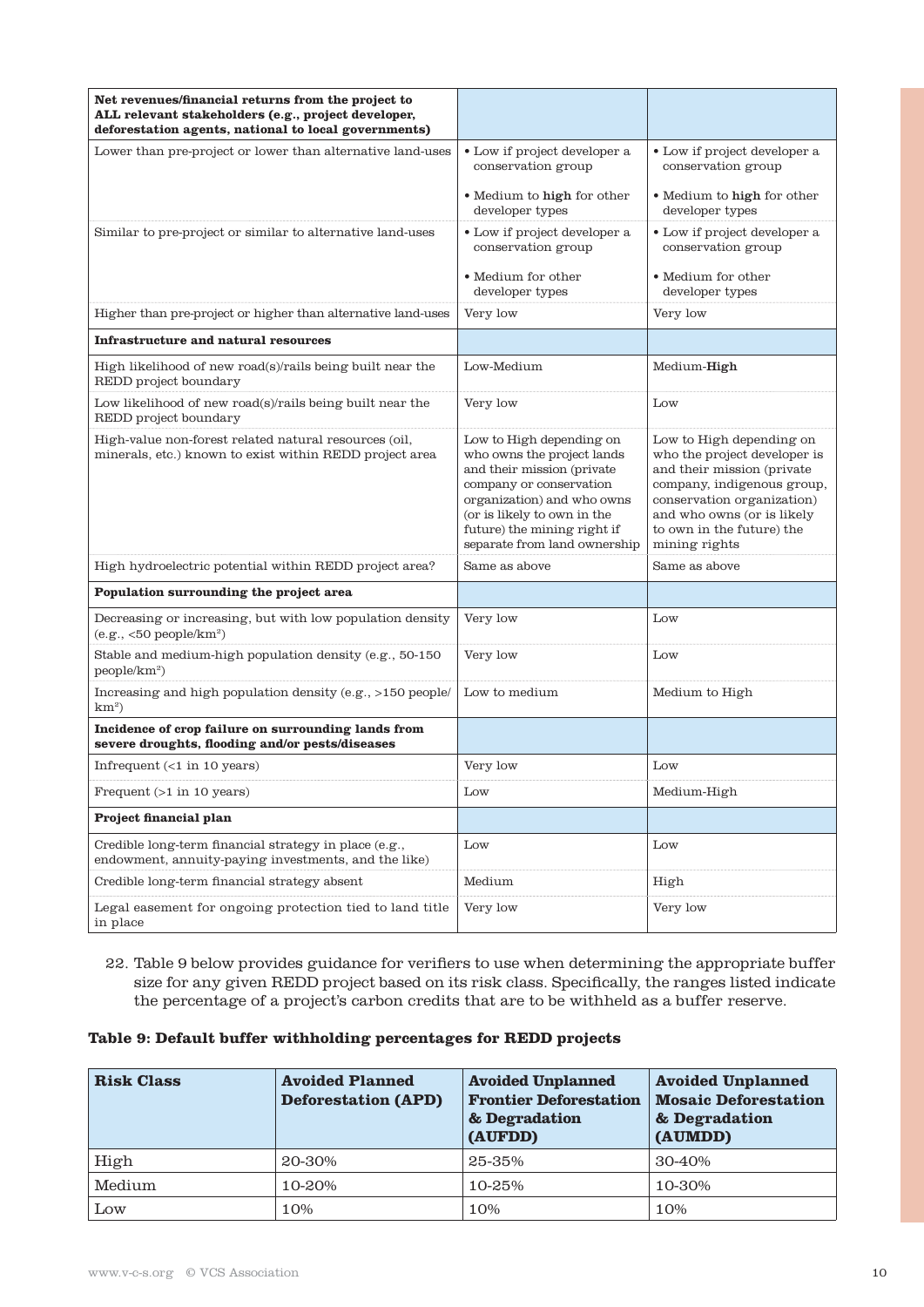| Net revenues/financial returns from the project to<br>ALL relevant stakeholders (e.g., project developer,<br>deforestation agents, national to local governments) |                                                                                                                                                                                                                                             |                                                                                                                                                                                                                                |
|-------------------------------------------------------------------------------------------------------------------------------------------------------------------|---------------------------------------------------------------------------------------------------------------------------------------------------------------------------------------------------------------------------------------------|--------------------------------------------------------------------------------------------------------------------------------------------------------------------------------------------------------------------------------|
| Lower than pre-project or lower than alternative land-uses                                                                                                        | • Low if project developer a<br>conservation group                                                                                                                                                                                          | • Low if project developer a<br>conservation group                                                                                                                                                                             |
|                                                                                                                                                                   | • Medium to high for other<br>developer types                                                                                                                                                                                               | • Medium to high for other<br>developer types                                                                                                                                                                                  |
| Similar to pre-project or similar to alternative land-uses                                                                                                        | • Low if project developer a<br>conservation group                                                                                                                                                                                          | • Low if project developer a<br>conservation group                                                                                                                                                                             |
|                                                                                                                                                                   | • Medium for other<br>developer types                                                                                                                                                                                                       | • Medium for other<br>developer types                                                                                                                                                                                          |
| Higher than pre-project or higher than alternative land-uses                                                                                                      | Very low                                                                                                                                                                                                                                    | Very low                                                                                                                                                                                                                       |
| <b>Infrastructure and natural resources</b>                                                                                                                       |                                                                                                                                                                                                                                             |                                                                                                                                                                                                                                |
| High likelihood of new road(s)/rails being built near the<br>REDD project boundary                                                                                | Low-Medium                                                                                                                                                                                                                                  | Medium-High                                                                                                                                                                                                                    |
| Low likelihood of new road(s)/rails being built near the<br>REDD project boundary                                                                                 | Very low                                                                                                                                                                                                                                    | Low                                                                                                                                                                                                                            |
| High-value non-forest related natural resources (oil,<br>minerals, etc.) known to exist within REDD project area                                                  | Low to High depending on<br>who owns the project lands<br>and their mission (private<br>company or conservation<br>organization) and who owns<br>(or is likely to own in the<br>future) the mining right if<br>separate from land ownership | Low to High depending on<br>who the project developer is<br>and their mission (private<br>company, indigenous group,<br>conservation organization)<br>and who owns (or is likely<br>to own in the future) the<br>mining rights |
| High hydroelectric potential within REDD project area?                                                                                                            | Same as above                                                                                                                                                                                                                               | Same as above                                                                                                                                                                                                                  |
| Population surrounding the project area                                                                                                                           |                                                                                                                                                                                                                                             |                                                                                                                                                                                                                                |
| Decreasing or increasing, but with low population density<br>$(e.g., 50 people/km2)$                                                                              | Very low                                                                                                                                                                                                                                    | Low                                                                                                                                                                                                                            |
| Stable and medium-high population density (e.g., 50-150<br>people/km <sup>2</sup> )                                                                               | Very low                                                                                                                                                                                                                                    | Low                                                                                                                                                                                                                            |
| Increasing and high population density (e.g., >150 people/<br>$km^2$                                                                                              | Low to medium                                                                                                                                                                                                                               | Medium to High                                                                                                                                                                                                                 |
| Incidence of crop failure on surrounding lands from<br>severe droughts, flooding and/or pests/diseases                                                            |                                                                                                                                                                                                                                             |                                                                                                                                                                                                                                |
| Infrequent $($ 1 in 10 years)                                                                                                                                     | Very low                                                                                                                                                                                                                                    | Low                                                                                                                                                                                                                            |
| Frequent $(>1$ in 10 years)                                                                                                                                       | Low                                                                                                                                                                                                                                         | Medium-High                                                                                                                                                                                                                    |
| Project financial plan                                                                                                                                            |                                                                                                                                                                                                                                             |                                                                                                                                                                                                                                |
| Credible long-term financial strategy in place (e.g.,<br>endowment, annuity-paying investments, and the like)                                                     | Low                                                                                                                                                                                                                                         | Low                                                                                                                                                                                                                            |
| Credible long-term financial strategy absent                                                                                                                      | Medium                                                                                                                                                                                                                                      | High                                                                                                                                                                                                                           |
| Legal easement for ongoing protection tied to land title<br>in place                                                                                              | Very low                                                                                                                                                                                                                                    | Very low                                                                                                                                                                                                                       |

22. Table 9 below provides guidance for verifiers to use when determining the appropriate buffer size for any given REDD project based on its risk class. Specifically, the ranges listed indicate the percentage of a project's carbon credits that are to be withheld as a buffer reserve.

# **Table 9: Default buffer withholding percentages for REDD projects**

| <b>Risk Class</b> | <b>Avoided Planned</b><br><b>Deforestation (APD)</b> | <b>Avoided Unplanned</b><br><b>Frontier Deforestation</b><br>& Degradation<br>(AUFDD) | <b>Avoided Unplanned</b><br><b>Mosaic Deforestation</b><br>& Degradation<br>(AUMDD) |
|-------------------|------------------------------------------------------|---------------------------------------------------------------------------------------|-------------------------------------------------------------------------------------|
| High              | 20-30%                                               | 25-35%                                                                                | 30-40%                                                                              |
| Medium            | 10-20%                                               | 10-25%                                                                                | 10-30%                                                                              |
| Low               | 10%                                                  | 10%                                                                                   | 10%                                                                                 |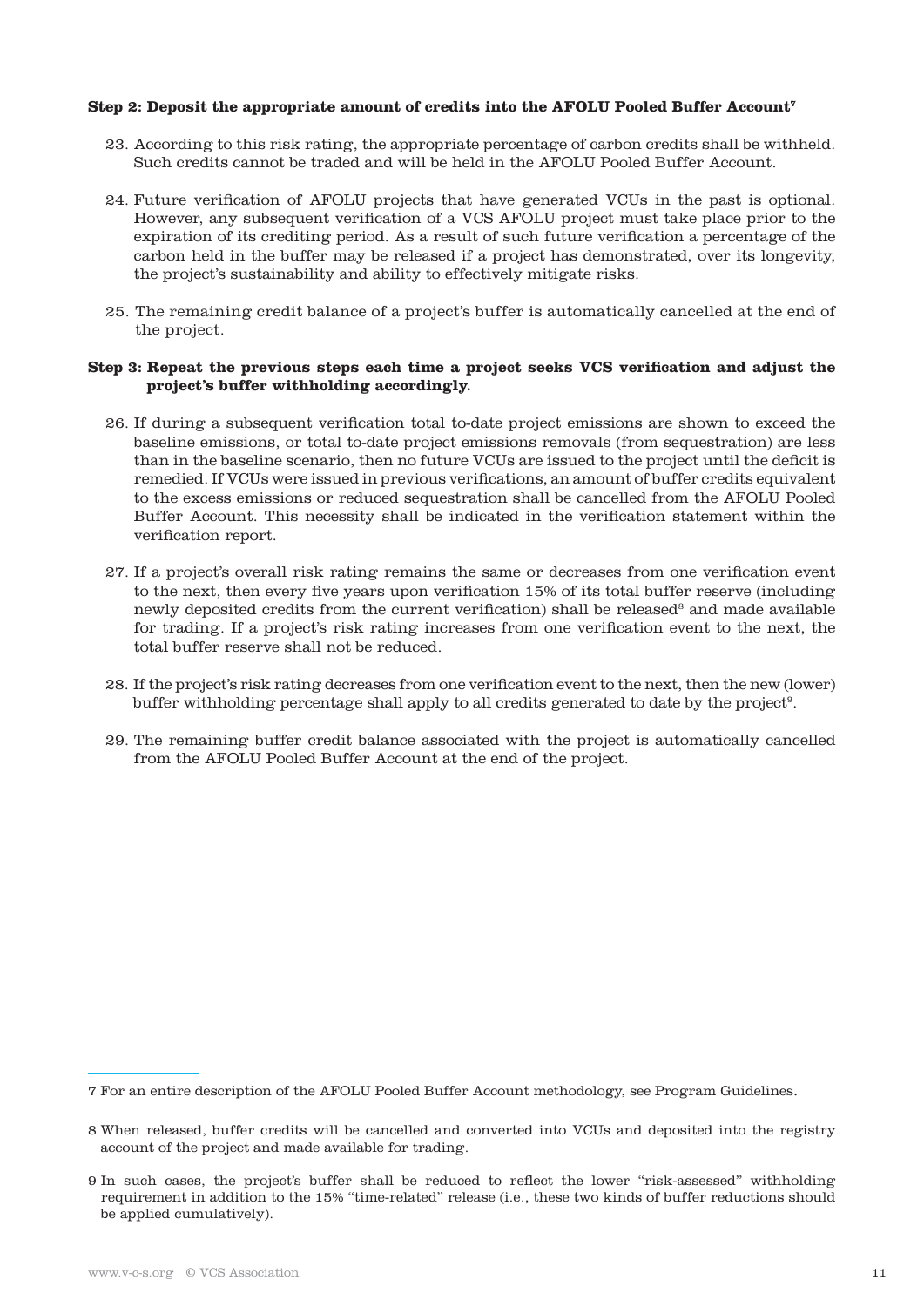#### **Step 2: Deposit the appropriate amount of credits into the AFOLU Pooled Buffer Account7**

- 23. According to this risk rating, the appropriate percentage of carbon credits shall be withheld. Such credits cannot be traded and will be held in the AFOLU Pooled Buffer Account.
- 24. Future verification of AFOLU projects that have generated VCUs in the past is optional. However, any subsequent verification of a VCS AFOLU project must take place prior to the expiration of its crediting period. As a result of such future verification a percentage of the carbon held in the buffer may be released if a project has demonstrated, over its longevity, the project's sustainability and ability to effectively mitigate risks.
- 25. The remaining credit balance of a project's buffer is automatically cancelled at the end of the project.

# **Step 3: Repeat the previous steps each time a project seeks VCS verification and adjust the project's buffer withholding accordingly.**

- 26. If during a subsequent verification total to-date project emissions are shown to exceed the baseline emissions, or total to-date project emissions removals (from sequestration) are less than in the baseline scenario, then no future VCUs are issued to the project until the deficit is remedied. If VCUs were issued in previous verifications, an amount of buffer credits equivalent to the excess emissions or reduced sequestration shall be cancelled from the AFOLU Pooled Buffer Account. This necessity shall be indicated in the verification statement within the verification report.
- 27. If a project's overall risk rating remains the same or decreases from one verification event to the next, then every five years upon verification 15% of its total buffer reserve (including newly deposited credits from the current verification) shall be released<sup>8</sup> and made available for trading. If a project's risk rating increases from one verification event to the next, the total buffer reserve shall not be reduced.
- 28. If the project's risk rating decreases from one verification event to the next, then the new (lower) buffer withholding percentage shall apply to all credits generated to date by the project9.
- 29. The remaining buffer credit balance associated with the project is automatically cancelled from the AFOLU Pooled Buffer Account at the end of the project.

<sup>7</sup> For an entire description of the AFOLU Pooled Buffer Account methodology, see Program Guidelines.

<sup>8</sup> When released, buffer credits will be cancelled and converted into VCUs and deposited into the registry account of the project and made available for trading.

<sup>9</sup> In such cases, the project's buffer shall be reduced to reflect the lower "risk-assessed" withholding requirement in addition to the 15% "time-related" release (i.e., these two kinds of buffer reductions should be applied cumulatively).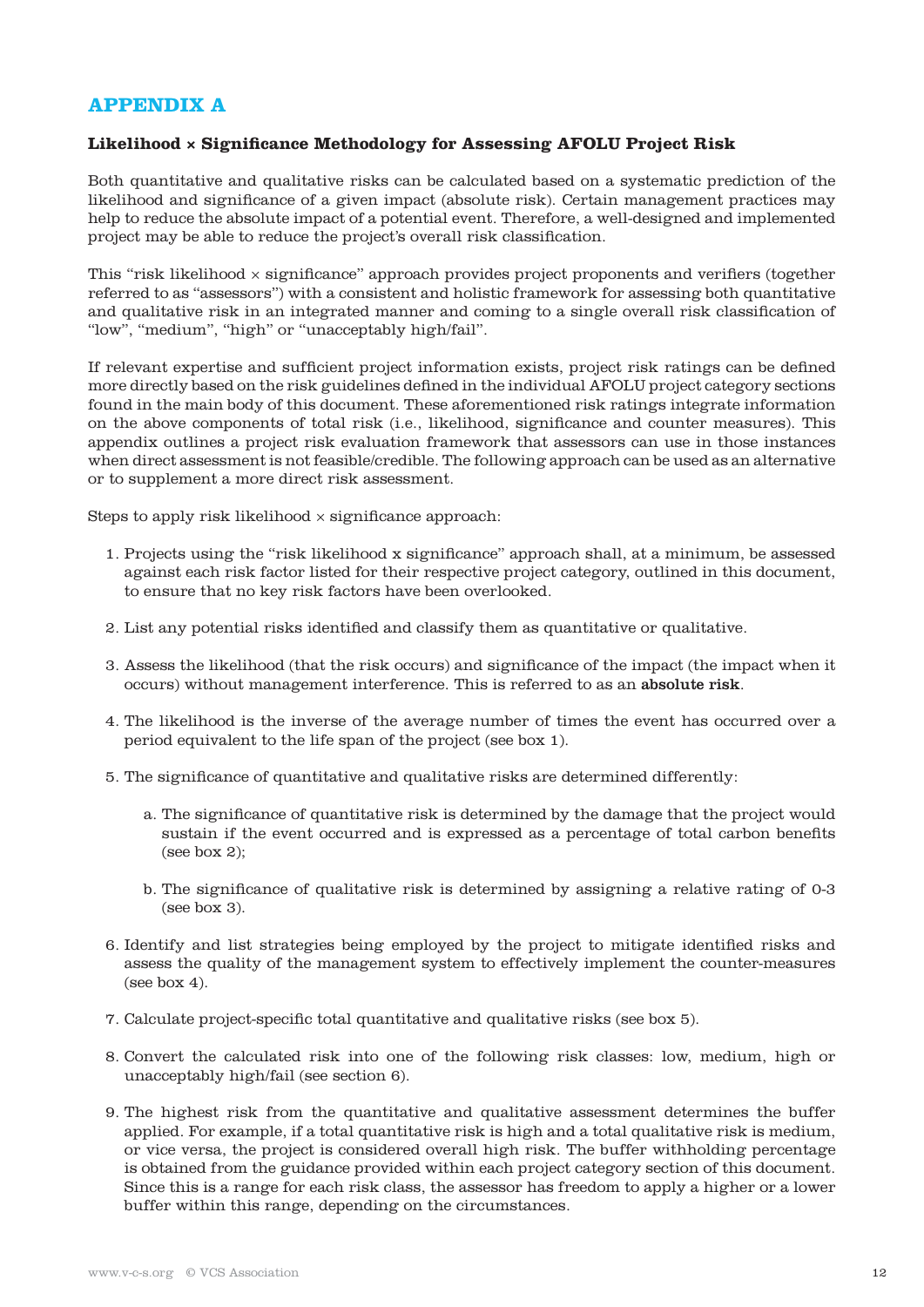# **APPENDIX A**

# **Likelihood × Significance Methodology for Assessing AFOLU Project Risk**

Both quantitative and qualitative risks can be calculated based on a systematic prediction of the likelihood and significance of a given impact (absolute risk). Certain management practices may help to reduce the absolute impact of a potential event. Therefore, a well-designed and implemented project may be able to reduce the project's overall risk classification.

This "risk likelihood × significance" approach provides project proponents and verifiers (together referred to as "assessors") with a consistent and holistic framework for assessing both quantitative and qualitative risk in an integrated manner and coming to a single overall risk classification of "low", "medium", "high" or "unacceptably high/fail".

If relevant expertise and sufficient project information exists, project risk ratings can be defined more directly based on the risk guidelines defined in the individual AFOLU project category sections found in the main body of this document. These aforementioned risk ratings integrate information on the above components of total risk (i.e., likelihood, significance and counter measures). This appendix outlines a project risk evaluation framework that assessors can use in those instances when direct assessment is not feasible/credible. The following approach can be used as an alternative or to supplement a more direct risk assessment.

Steps to apply risk likelihood  $\times$  significance approach:

- 1. Projects using the "risk likelihood x significance" approach shall, at a minimum, be assessed against each risk factor listed for their respective project category, outlined in this document, to ensure that no key risk factors have been overlooked.
- 2. List any potential risks identified and classify them as quantitative or qualitative.
- 3. Assess the likelihood (that the risk occurs) and significance of the impact (the impact when it occurs) without management interference. This is referred to as an absolute risk.
- 4. The likelihood is the inverse of the average number of times the event has occurred over a period equivalent to the life span of the project (see box 1).
- 5. The significance of quantitative and qualitative risks are determined differently:
	- a. The significance of quantitative risk is determined by the damage that the project would sustain if the event occurred and is expressed as a percentage of total carbon benefits (see box 2);
	- b. The significance of qualitative risk is determined by assigning a relative rating of 0-3 (see box 3).
- 6. Identify and list strategies being employed by the project to mitigate identified risks and assess the quality of the management system to effectively implement the counter-measures (see box 4).
- 7. Calculate project-specific total quantitative and qualitative risks (see box 5).
- 8. Convert the calculated risk into one of the following risk classes: low, medium, high or unacceptably high/fail (see section 6).
- 9. The highest risk from the quantitative and qualitative assessment determines the buffer applied. For example, if a total quantitative risk is high and a total qualitative risk is medium, or vice versa, the project is considered overall high risk. The buffer withholding percentage is obtained from the guidance provided within each project category section of this document. Since this is a range for each risk class, the assessor has freedom to apply a higher or a lower buffer within this range, depending on the circumstances.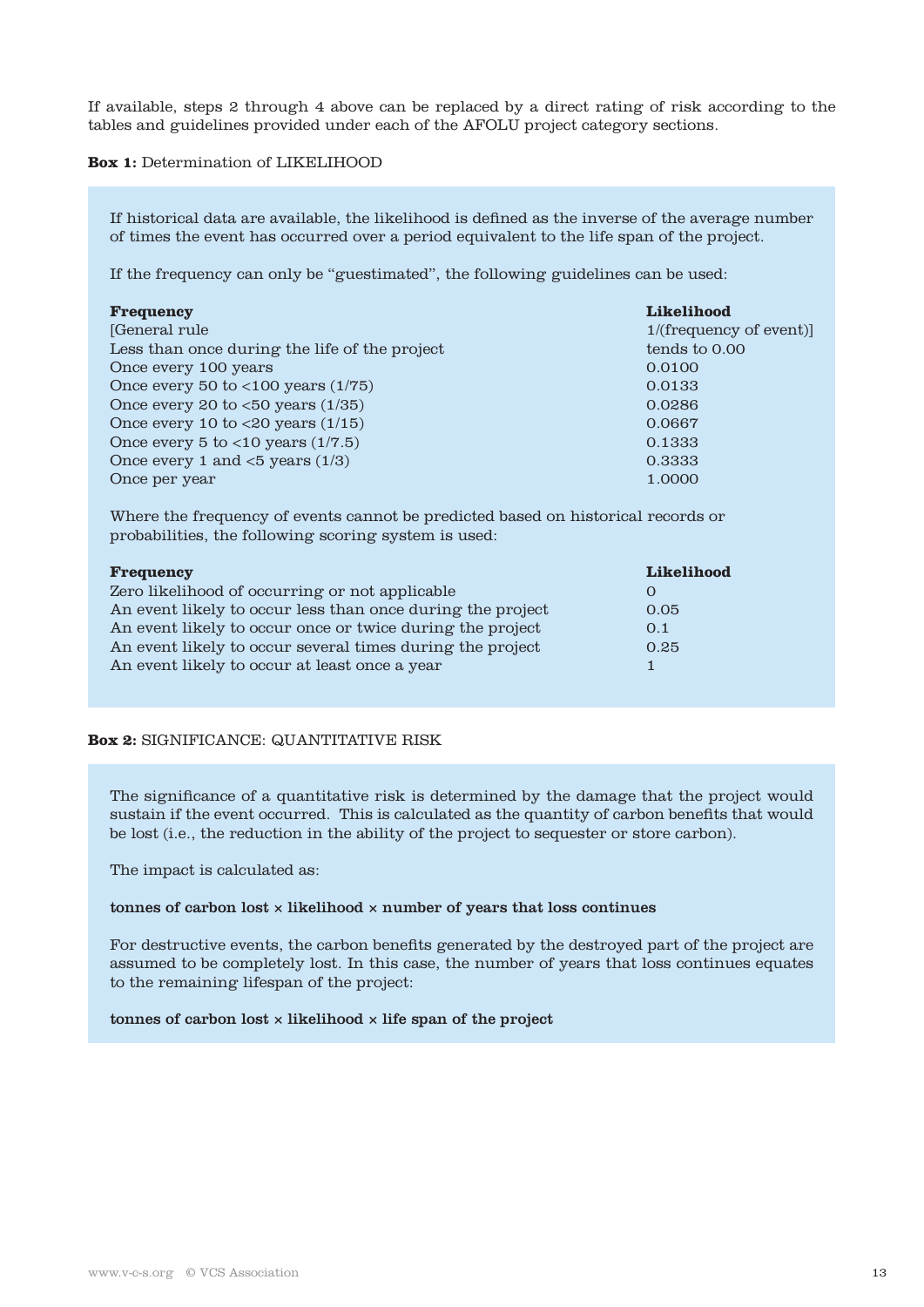If available, steps 2 through 4 above can be replaced by a direct rating of risk according to the tables and guidelines provided under each of the AFOLU project category sections.

# **Box 1:** Determination of LIKELIHOOD

If historical data are available, the likelihood is defined as the inverse of the average number of times the event has occurred over a period equivalent to the life span of the project.

If the frequency can only be "guestimated", the following guidelines can be used:

| <b>Frequency</b>                                 | <b>Likelihood</b>      |
|--------------------------------------------------|------------------------|
| [General rule]                                   | 1/(frequency of event) |
| Less than once during the life of the project    | tends to 0.00          |
| Once every 100 years                             | 0.0100                 |
| Once every 50 to $<$ 100 years $(1/75)$          | 0.0133                 |
| Once every 20 to $<50$ years $(1/35)$            | 0.0286                 |
| Once every 10 to $<20$ years $(1/15)$            | 0.0667                 |
| Once every 5 to $<$ 10 years $(1/7.5)$           | 0.1333                 |
| Once every 1 and $\langle 5 \rangle$ years (1/3) | 0.3333                 |
| Once per year                                    | 1.0000                 |

Where the frequency of events cannot be predicted based on historical records or probabilities, the following scoring system is used:

| <b>Frequency</b>                                           | Likelihood |
|------------------------------------------------------------|------------|
| Zero likelihood of occurring or not applicable             | $\Omega$   |
| An event likely to occur less than once during the project | 0.05       |
| An event likely to occur once or twice during the project  | 0.1        |
| An event likely to occur several times during the project  | 0.25       |
| An event likely to occur at least once a year              |            |

# **Box 2:** SIGNIFICANCE: QUANTITATIVE RISK

The significance of a quantitative risk is determined by the damage that the project would sustain if the event occurred. This is calculated as the quantity of carbon benefits that would be lost (i.e., the reduction in the ability of the project to sequester or store carbon).

The impact is calculated as:

#### tonnes of carbon lost  $\times$  likelihood  $\times$  number of years that loss continues

For destructive events, the carbon benefits generated by the destroyed part of the project are assumed to be completely lost. In this case, the number of years that loss continues equates to the remaining lifespan of the project:

#### tonnes of carbon lost  $\times$  likelihood  $\times$  life span of the project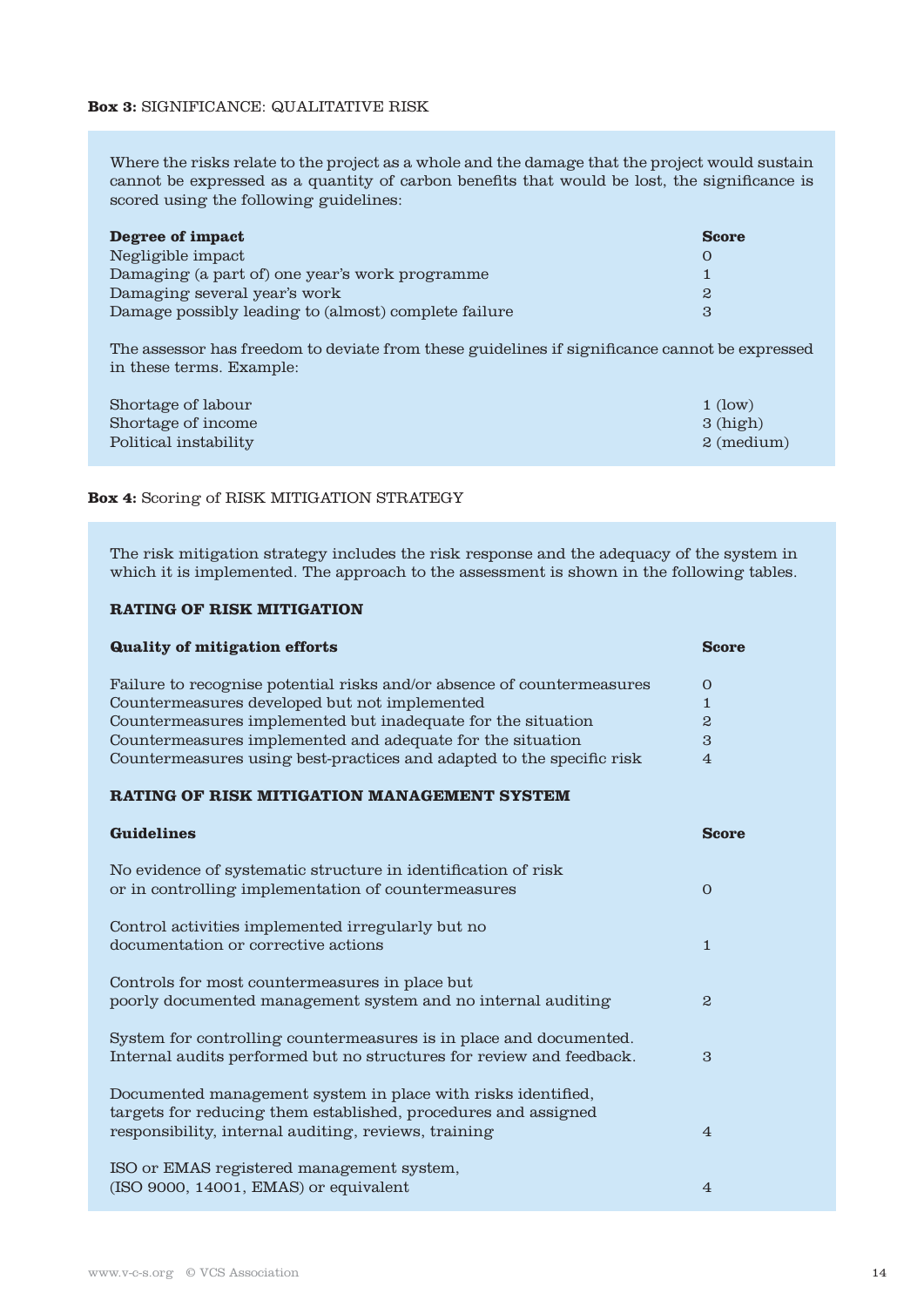#### **Box 3:** SIGNIFICANCE: QUALITATIVE RISK

Where the risks relate to the project as a whole and the damage that the project would sustain cannot be expressed as a quantity of carbon benefits that would be lost, the significance is scored using the following guidelines:

| Degree of impact                                     | <b>Score</b> |
|------------------------------------------------------|--------------|
| Negligible impact                                    |              |
| Damaging (a part of) one year's work programme       |              |
| Damaging several year's work                         | 2            |
| Damage possibly leading to (almost) complete failure | З            |

The assessor has freedom to deviate from these guidelines if significance cannot be expressed in these terms. Example:

| Shortage of labour    | $1$ (low)    |
|-----------------------|--------------|
| Shortage of income    | 3(high)      |
| Political instability | $2 \pmod{m}$ |

#### **Box 4:** Scoring of RISK MITIGATION STRATEGY

The risk mitigation strategy includes the risk response and the adequacy of the system in which it is implemented. The approach to the assessment is shown in the following tables.

# **RATING OF RISK MITIGATION**

| Quality of mitigation efforts                                          | <b>Score</b> |
|------------------------------------------------------------------------|--------------|
| Failure to recognise potential risks and/or absence of countermeasures | $\Omega$     |
| Countermeasures developed but not implemented                          |              |
| Countermeasures implemented but inadequate for the situation           | $\mathbf{2}$ |
| Countermeasures implemented and adequate for the situation             | 3            |
| Countermeasures using best-practices and adapted to the specific risk  | 4            |

### **RATING OF RISK MITIGATION MANAGEMENT SYSTEM**

| Guidelines                                                                                                                                                                             | Score          |
|----------------------------------------------------------------------------------------------------------------------------------------------------------------------------------------|----------------|
| No evidence of systematic structure in identification of risk<br>or in controlling implementation of countermeasures                                                                   | $\Omega$       |
| Control activities implemented irregularly but no<br>documentation or corrective actions                                                                                               | 1              |
| Controls for most countermeasures in place but<br>poorly documented management system and no internal auditing                                                                         | $\mathbf{2}$   |
| System for controlling countermeasures is in place and documented.<br>Internal audits performed but no structures for review and feedback.                                             | 3              |
| Documented management system in place with risks identified,<br>targets for reducing them established, procedures and assigned<br>responsibility, internal auditing, reviews, training | $\overline{4}$ |
| ISO or EMAS registered management system,<br>$(ISO 9000, 14001, EMAS)$ or equivalent                                                                                                   | $\overline{4}$ |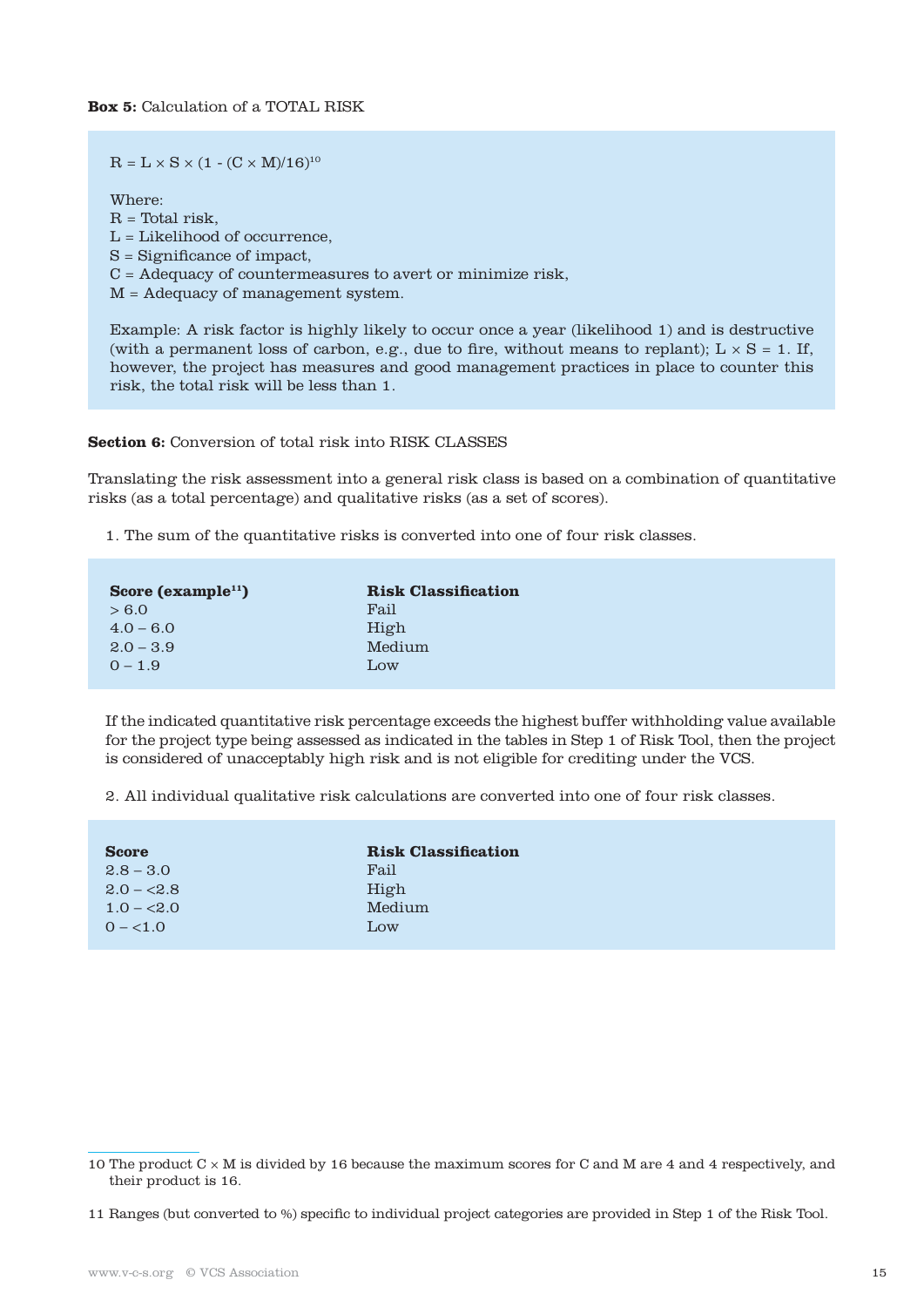$R = L \times S \times (1 - (C \times M)/16)^{10}$ 

Where:

 $R = Total risk$ . L = Likelihood of occurrence, S = Significance of impact, C = Adequacy of countermeasures to avert or minimize risk, M = Adequacy of management system.

Example: A risk factor is highly likely to occur once a year (likelihood 1) and is destructive (with a permanent loss of carbon, e.g., due to fire, without means to replant);  $L \times S = 1$ . If, however, the project has measures and good management practices in place to counter this risk, the total risk will be less than 1.

**Section 6:** Conversion of total risk into RISK CLASSES

Translating the risk assessment into a general risk class is based on a combination of quantitative risks (as a total percentage) and qualitative risks (as a set of scores).

1. The sum of the quantitative risks is converted into one of four risk classes.

| Score (example <sup>11</sup> ) | <b>Risk Classification</b> |
|--------------------------------|----------------------------|
| > 6.0                          | Fail                       |
| $4.0 - 6.0$                    | High                       |
| $2.0 - 3.9$                    | Medium                     |
| $0 - 1.9$                      | Low                        |

If the indicated quantitative risk percentage exceeds the highest buffer withholding value available for the project type being assessed as indicated in the tables in Step 1 of Risk Tool, then the project is considered of unacceptably high risk and is not eligible for crediting under the VCS.

2. All individual qualitative risk calculations are converted into one of four risk classes.

| <b>Score</b> | <b>Risk Classification</b> |
|--------------|----------------------------|
| $2.8 - 3.0$  | Fail                       |
| $2.0 - 2.8$  | High                       |
| $1.0 - 2.0$  | Medium                     |
| $0 - 1.0$    | Low                        |
|              |                            |

<sup>10</sup> The product  $C \times M$  is divided by 16 because the maximum scores for C and M are 4 and 4 respectively, and their product is 16.

<sup>11</sup> Ranges (but converted to %) specific to individual project categories are provided in Step 1 of the Risk Tool.